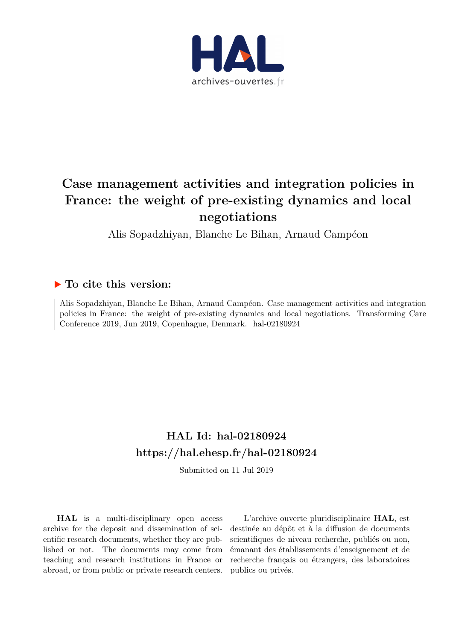

#### **Case management activities and integration policies in France: the weight of pre-existing dynamics and local negotiations**

Alis Sopadzhiyan, Blanche Le Bihan, Arnaud Campéon

#### **To cite this version:**

Alis Sopadzhiyan, Blanche Le Bihan, Arnaud Campéon. Case management activities and integration policies in France: the weight of pre-existing dynamics and local negotiations. Transforming Care Conference 2019, Jun 2019, Copenhague, Denmark. hal-02180924

#### **HAL Id: hal-02180924 <https://hal.ehesp.fr/hal-02180924>**

Submitted on 11 Jul 2019

**HAL** is a multi-disciplinary open access archive for the deposit and dissemination of scientific research documents, whether they are published or not. The documents may come from teaching and research institutions in France or abroad, or from public or private research centers.

L'archive ouverte pluridisciplinaire **HAL**, est destinée au dépôt et à la diffusion de documents scientifiques de niveau recherche, publiés ou non, émanant des établissements d'enseignement et de recherche français ou étrangers, des laboratoires publics ou privés.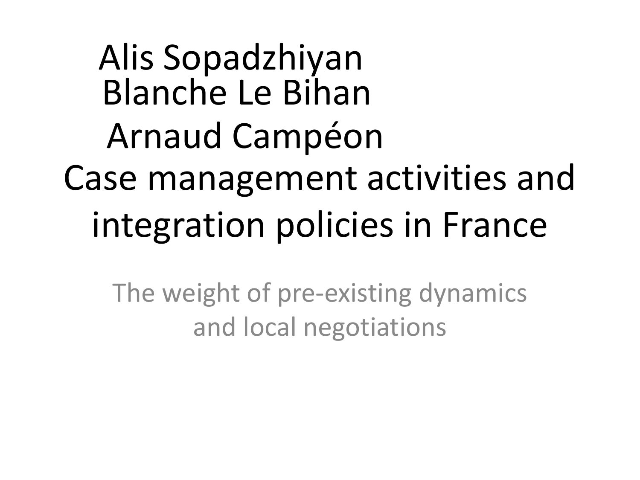Case management activities and integration policies in France Alis Sopadzhiyan Blanche Le Bihan Arnaud Campéon

The weight of pre-existing dynamics and local negotiations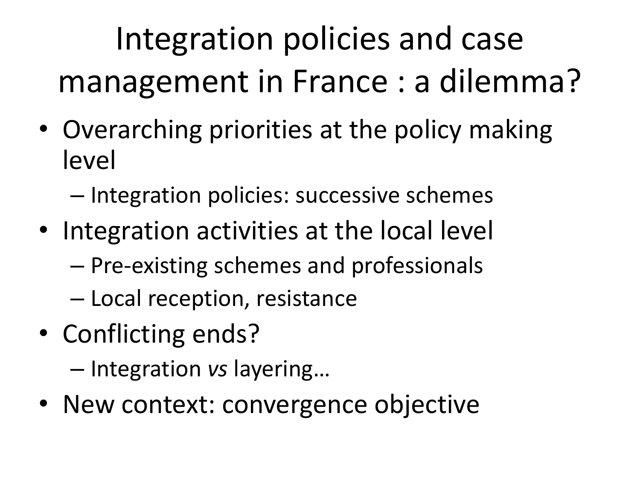### Integration policies and case management in France : a dilemma?

- Overarching priorities at the policy making level
	- Integration policies: successive schemes
- Integration activities at the local level
	- Pre-existing schemes and professionals
	- Local reception, resistance
- Conflicting ends?

– Integration *vs* layering…

• New context: convergence objective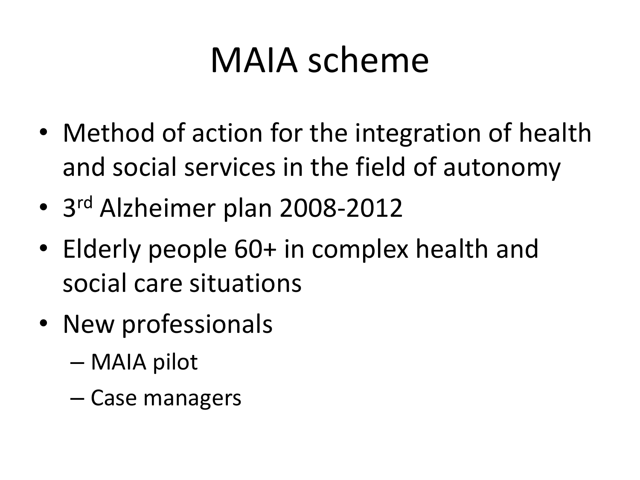### MAIA scheme

- Method of action for the integration of health and social services in the field of autonomy
- 3 rd Alzheimer plan 2008-2012
- Elderly people 60+ in complex health and social care situations
- New professionals
	- MAIA pilot
	- Case managers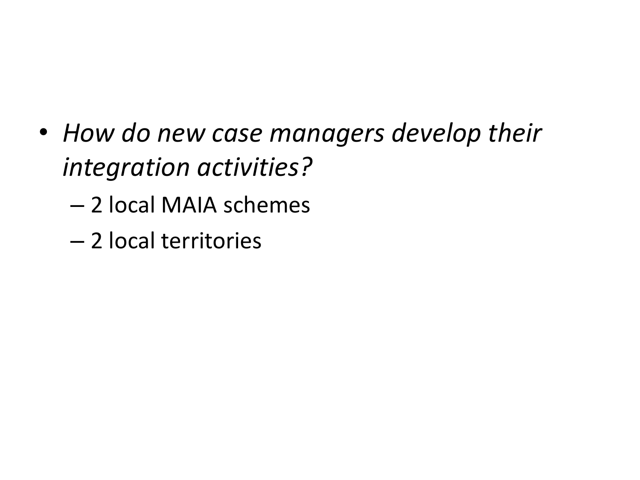- *How do new case managers develop their integration activities?*
	- 2 local MAIA schemes
	- 2 local territories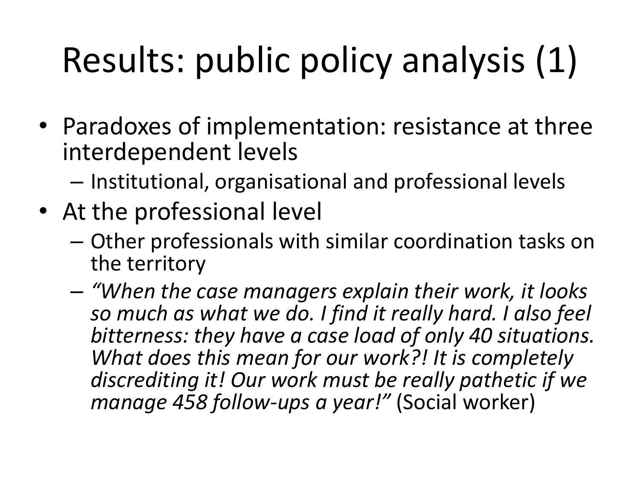# Results: public policy analysis (1)

- Paradoxes of implementation: resistance at three interdependent levels
	- Institutional, organisational and professional levels
- At the professional level
	- Other professionals with similar coordination tasks on the territory
	- *"When the case managers explain their work, it looks so much as what we do. I find it really hard. I also feel bitterness: they have a case load of only 40 situations. What does this mean for our work?! It is completely discrediting it! Our work must be really pathetic if we manage 458 follow-ups a year!"* (Social worker)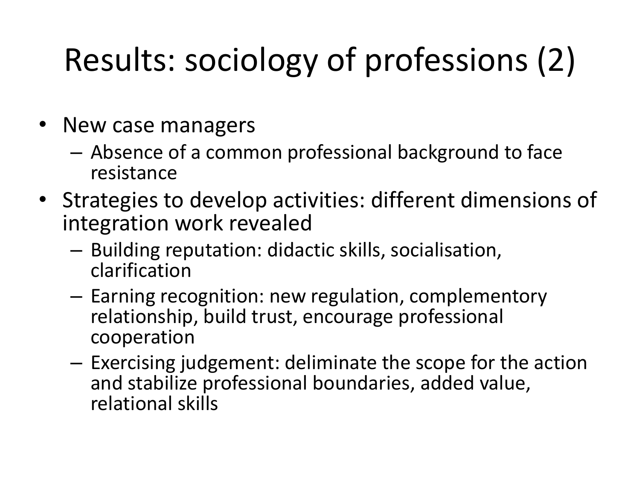### Results: sociology of professions (2)

- New case managers
	- Absence of a common professional background to face resistance
- Strategies to develop activities: different dimensions of integration work revealed
	- Building reputation: didactic skills, socialisation, clarification
	- Earning recognition: new regulation, complementory relationship, build trust, encourage professional cooperation
	- Exercising judgement: deliminate the scope for the action and stabilize professional boundaries, added value, relational skills